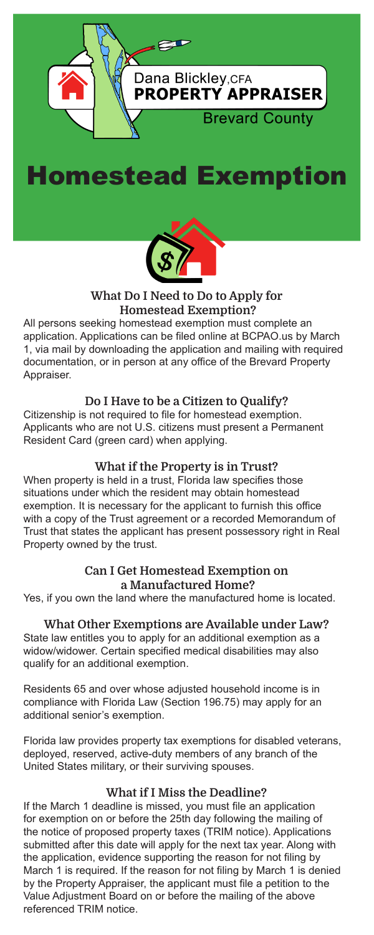





## What Do I Need to Do to Apply for Homestead Exemption?

All persons seeking homestead exemption must complete an application. Applications can be filed online at BCPAO.us by March 1, via mail by downloading the application and mailing with required documentation, or in person at any office of the Brevard Property Appraiser.

## Do I Have to be a Citizen to Qualify?

Citizenship is not required to file for homestead exemption. Applicants who are not U.S. citizens must present a Permanent Resident Card (green card) when applying.

## What if the Property is in Trust?

When property is held in a trust, Florida law specifies those situations under which the resident may obtain homestead exemption. It is necessary for the applicant to furnish this office with a copy of the Trust agreement or a recorded Memorandum of Trust that states the applicant has present possessory right in Real Property owned by the trust.

## Can I Get Homestead Exemption on a Manufactured Home?

Yes, if you own the land where the manufactured home is located.

## What Other Exemptions are Available under Law?

State law entitles you to apply for an additional exemption as a widow/widower. Certain specified medical disabilities may also qualify for an additional exemption.

Residents 65 and over whose adjusted household income is in compliance with Florida Law (Section 196.75) may apply for an additional senior's exemption.

Florida law provides property tax exemptions for disabled veterans, deployed, reserved, active-duty members of any branch of the United States military, or their surviving spouses.

## What if I Miss the Deadline?

If the March 1 deadline is missed, you must file an application for exemption on or before the 25th day following the mailing of the notice of proposed property taxes (TRIM notice). Applications submitted after this date will apply for the next tax year. Along with the application, evidence supporting the reason for not filing by March 1 is required. If the reason for not filing by March 1 is denied by the Property Appraiser, the applicant must file a petition to the Value Adjustment Board on or before the mailing of the above referenced TRIM notice.